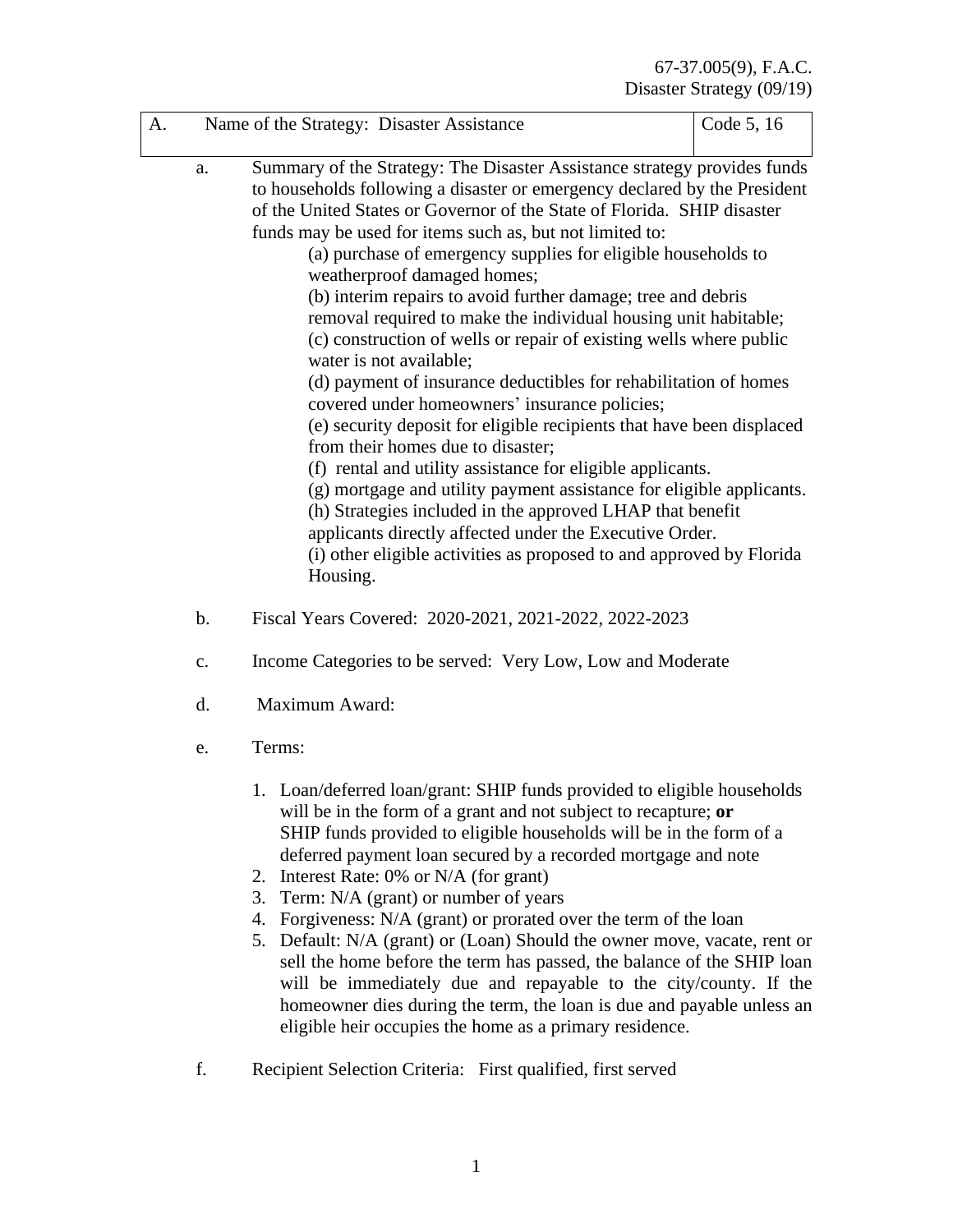| A. |       | Name of the Strategy: Disaster Assistance                                                                                                                                                                                                                                                                                                                                                                                                                                                                                                                                                                                                                                                                                                                                                                                                                                                                                                                                                                                                                                                                                                                                                                             | Code 5, 16 |  |
|----|-------|-----------------------------------------------------------------------------------------------------------------------------------------------------------------------------------------------------------------------------------------------------------------------------------------------------------------------------------------------------------------------------------------------------------------------------------------------------------------------------------------------------------------------------------------------------------------------------------------------------------------------------------------------------------------------------------------------------------------------------------------------------------------------------------------------------------------------------------------------------------------------------------------------------------------------------------------------------------------------------------------------------------------------------------------------------------------------------------------------------------------------------------------------------------------------------------------------------------------------|------------|--|
|    | a.    | Summary of the Strategy: The Disaster Assistance strategy provides funds<br>to households following a disaster or emergency declared by the President<br>of the United States or Governor of the State of Florida. SHIP disaster<br>funds may be used for items such as, but not limited to:<br>(a) purchase of emergency supplies for eligible households to<br>weatherproof damaged homes;<br>(b) interim repairs to avoid further damage; tree and debris<br>removal required to make the individual housing unit habitable;<br>(c) construction of wells or repair of existing wells where public<br>water is not available;<br>(d) payment of insurance deductibles for rehabilitation of homes<br>covered under homeowners' insurance policies;<br>(e) security deposit for eligible recipients that have been displaced<br>from their homes due to disaster;<br>(f) rental and utility assistance for eligible applicants.<br>(g) mortgage and utility payment assistance for eligible applicants.<br>(h) Strategies included in the approved LHAP that benefit<br>applicants directly affected under the Executive Order.<br>(i) other eligible activities as proposed to and approved by Florida<br>Housing. |            |  |
|    | $b$ . | Fiscal Years Covered: 2020-2021, 2021-2022, 2022-2023                                                                                                                                                                                                                                                                                                                                                                                                                                                                                                                                                                                                                                                                                                                                                                                                                                                                                                                                                                                                                                                                                                                                                                 |            |  |
|    | c.    | Income Categories to be served: Very Low, Low and Moderate                                                                                                                                                                                                                                                                                                                                                                                                                                                                                                                                                                                                                                                                                                                                                                                                                                                                                                                                                                                                                                                                                                                                                            |            |  |
|    | d.    | Maximum Award:<br>Terms:                                                                                                                                                                                                                                                                                                                                                                                                                                                                                                                                                                                                                                                                                                                                                                                                                                                                                                                                                                                                                                                                                                                                                                                              |            |  |
|    | e.    |                                                                                                                                                                                                                                                                                                                                                                                                                                                                                                                                                                                                                                                                                                                                                                                                                                                                                                                                                                                                                                                                                                                                                                                                                       |            |  |
|    |       | 1. Loan/deferred loan/grant: SHIP funds provided to eligible households<br>will be in the form of a grant and not subject to recapture; or<br>SHIP funds provided to eligible households will be in the form of a<br>deferred payment loan secured by a recorded mortgage and note<br>Interest Rate: 0% or N/A (for grant)<br>2.<br>3.<br>Term: N/A (grant) or number of years<br>Forgiveness: N/A (grant) or prorated over the term of the loan<br>4.<br>Default: N/A (grant) or (Loan) Should the owner move, vacate, rent or<br>5.                                                                                                                                                                                                                                                                                                                                                                                                                                                                                                                                                                                                                                                                                 |            |  |

- sell the home before the term has passed, the balance of the SHIP loan will be immediately due and repayable to the city/county. If the homeowner dies during the term, the loan is due and payable unless an eligible heir occupies the home as a primary residence.
- f. Recipient Selection Criteria: First qualified, first served